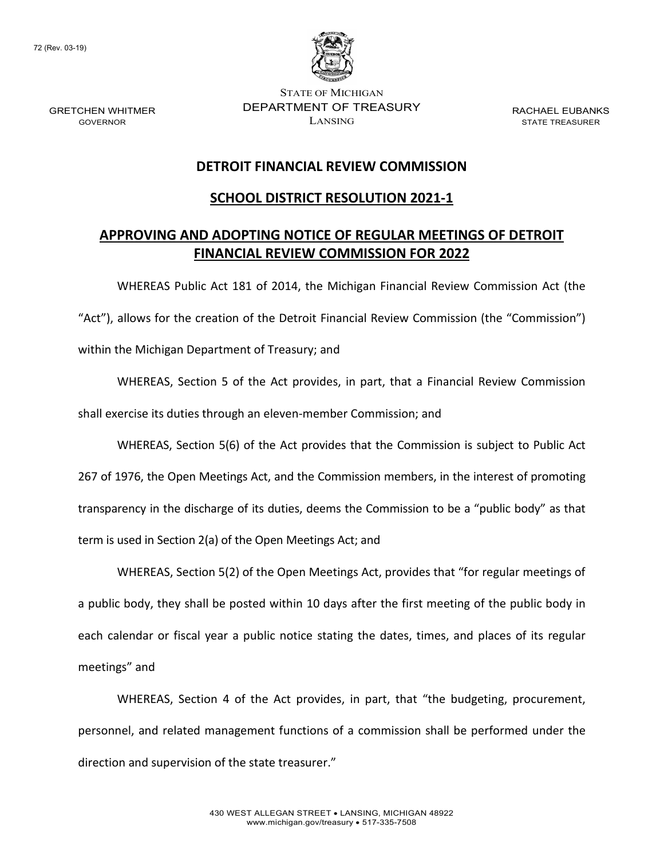72 (Rev. 03-19)

GRETCHEN WHITMER GOVERNOR



STATE OF MICHIGAN DEPARTMENT OF TREASURY LANSING

RACHAEL EUBANKS STATE TREASURER

### **DETROIT FINANCIAL REVIEW COMMISSION**

### **SCHOOL DISTRICT RESOLUTION 2021-1**

## **APPROVING AND ADOPTING NOTICE OF REGULAR MEETINGS OF DETROIT FINANCIAL REVIEW COMMISSION FOR 2022**

WHEREAS Public Act 181 of 2014, the Michigan Financial Review Commission Act (the "Act"), allows for the creation of the Detroit Financial Review Commission (the "Commission") within the Michigan Department of Treasury; and

WHEREAS, Section 5 of the Act provides, in part, that a Financial Review Commission shall exercise its duties through an eleven-member Commission; and

WHEREAS, Section 5(6) of the Act provides that the Commission is subject to Public Act 267 of 1976, the Open Meetings Act, and the Commission members, in the interest of promoting transparency in the discharge of its duties, deems the Commission to be a "public body" as that term is used in Section 2(a) of the Open Meetings Act; and

WHEREAS, Section 5(2) of the Open Meetings Act, provides that "for regular meetings of a public body, they shall be posted within 10 days after the first meeting of the public body in each calendar or fiscal year a public notice stating the dates, times, and places of its regular meetings" and

WHEREAS, Section 4 of the Act provides, in part, that "the budgeting, procurement, personnel, and related management functions of a commission shall be performed under the direction and supervision of the state treasurer."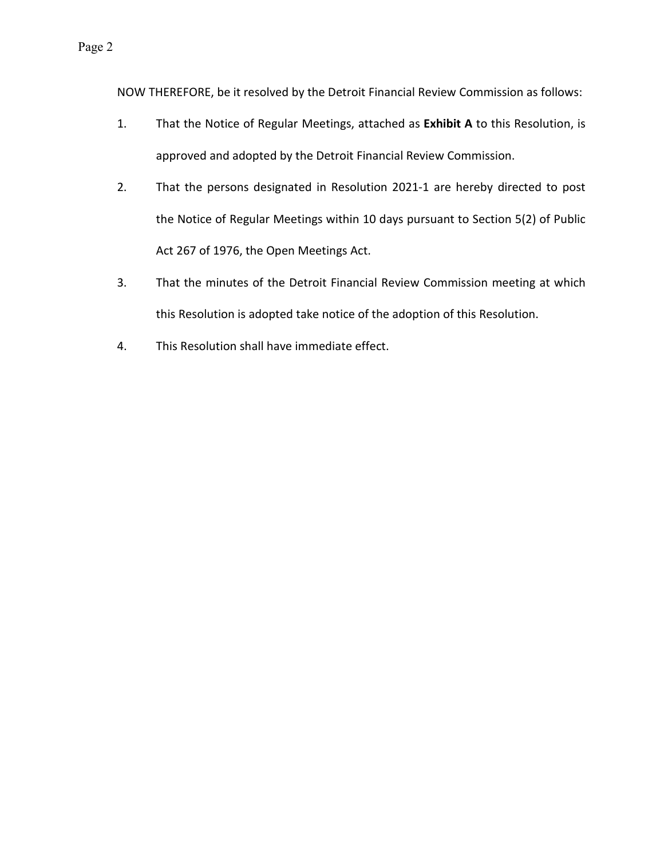NOW THEREFORE, be it resolved by the Detroit Financial Review Commission as follows:

- 1. That the Notice of Regular Meetings, attached as **Exhibit A** to this Resolution, is approved and adopted by the Detroit Financial Review Commission.
- 2. That the persons designated in Resolution 2021-1 are hereby directed to post the Notice of Regular Meetings within 10 days pursuant to Section 5(2) of Public Act 267 of 1976, the Open Meetings Act.
- 3. That the minutes of the Detroit Financial Review Commission meeting at which this Resolution is adopted take notice of the adoption of this Resolution.
- 4. This Resolution shall have immediate effect.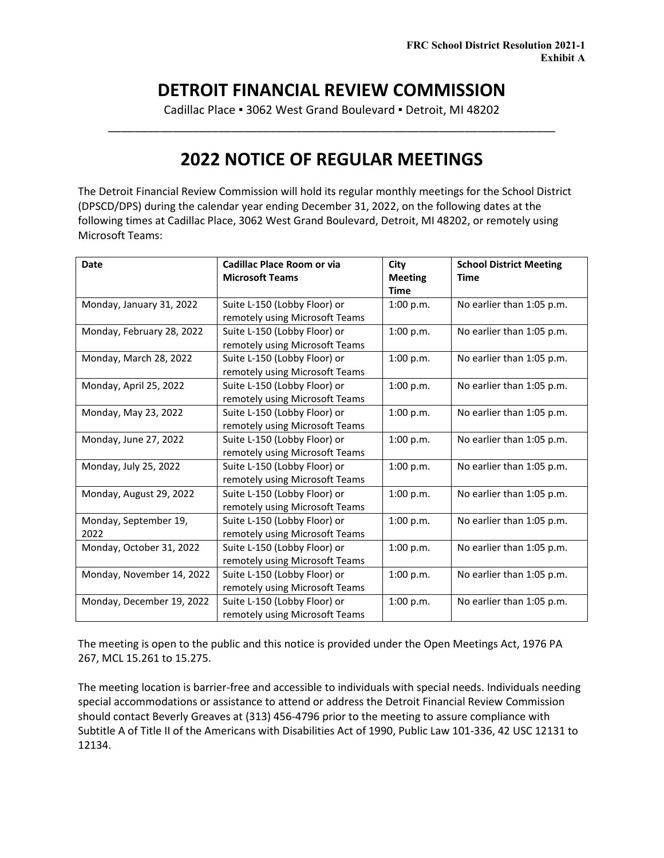## **DETROIT FINANCIAL REVIEW COMMISSION**

Cadillac Place **▪** 3062 West Grand Boulevard **▪** Detroit, MI 48202 \_\_\_\_\_\_\_\_\_\_\_\_\_\_\_\_\_\_\_\_\_\_\_\_\_\_\_\_\_\_\_\_\_\_\_\_\_\_\_\_\_\_\_\_\_\_\_\_\_\_\_\_\_\_\_\_\_\_\_\_\_\_\_\_\_\_\_\_\_

# **2022 NOTICE OF REGULAR MEETINGS**

The Detroit Financial Review Commission will hold its regular monthly meetings for the School District (DPSCD/DPS) during the calendar year ending December 31, 2022, on the following dates at the following times at Cadillac Place, 3062 West Grand Boulevard, Detroit, MI 48202, or remotely using Microsoft Teams:

| Date                      | Cadillac Place Room or via<br><b>Microsoft Teams</b> | City<br><b>Meeting</b> | <b>School District Meeting</b><br>Time |
|---------------------------|------------------------------------------------------|------------------------|----------------------------------------|
|                           |                                                      | <b>Time</b>            |                                        |
| Monday, January 31, 2022  | Suite L-150 (Lobby Floor) or                         | 1:00 p.m.              | No earlier than 1:05 p.m.              |
|                           | remotely using Microsoft Teams                       |                        |                                        |
| Monday, February 28, 2022 | Suite L-150 (Lobby Floor) or                         | 1:00 p.m.              | No earlier than 1:05 p.m.              |
|                           | remotely using Microsoft Teams                       |                        |                                        |
| Monday, March 28, 2022    | Suite L-150 (Lobby Floor) or                         | 1:00 p.m.              | No earlier than 1:05 p.m.              |
|                           | remotely using Microsoft Teams                       |                        |                                        |
| Monday, April 25, 2022    | Suite L-150 (Lobby Floor) or                         | 1:00 p.m.              | No earlier than 1:05 p.m.              |
|                           | remotely using Microsoft Teams                       |                        |                                        |
| Monday, May 23, 2022      | Suite L-150 (Lobby Floor) or                         | 1:00 p.m.              | No earlier than 1:05 p.m.              |
|                           | remotely using Microsoft Teams                       |                        |                                        |
| Monday, June 27, 2022     | Suite L-150 (Lobby Floor) or                         | 1:00 p.m.              | No earlier than 1:05 p.m.              |
|                           | remotely using Microsoft Teams                       |                        |                                        |
| Monday, July 25, 2022     | Suite L-150 (Lobby Floor) or                         | 1:00 p.m.              | No earlier than 1:05 p.m.              |
|                           | remotely using Microsoft Teams                       |                        |                                        |
| Monday, August 29, 2022   | Suite L-150 (Lobby Floor) or                         | 1:00 p.m.              | No earlier than 1:05 p.m.              |
|                           | remotely using Microsoft Teams                       |                        |                                        |
| Monday, September 19,     | Suite L-150 (Lobby Floor) or                         | 1:00 p.m.              | No earlier than 1:05 p.m.              |
| 2022                      | remotely using Microsoft Teams                       |                        |                                        |
| Monday, October 31, 2022  | Suite L-150 (Lobby Floor) or                         | 1:00 p.m.              | No earlier than 1:05 p.m.              |
|                           | remotely using Microsoft Teams                       |                        |                                        |
| Monday, November 14, 2022 | Suite L-150 (Lobby Floor) or                         | 1:00 p.m.              | No earlier than 1:05 p.m.              |
|                           | remotely using Microsoft Teams                       |                        |                                        |
| Monday, December 19, 2022 | Suite L-150 (Lobby Floor) or                         | 1:00 p.m.              | No earlier than 1:05 p.m.              |
|                           | remotely using Microsoft Teams                       |                        |                                        |

The meeting is open to the public and this notice is provided under the Open Meetings Act, 1976 PA 267, MCL 15.261 to 15.275.

The meeting location is barrier-free and accessible to individuals with special needs. Individuals needing special accommodations or assistance to attend or address the Detroit Financial Review Commission should contact Beverly Greaves at (313) 456-4796 prior to the meeting to assure compliance with Subtitle A of Title II of the Americans with Disabilities Act of 1990, Public Law 101-336, 42 USC 12131 to 12134.